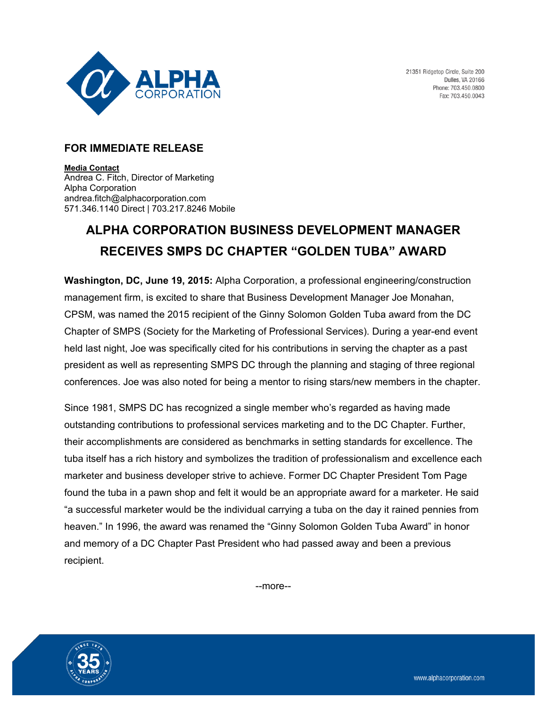

## **FOR IMMEDIATE RELEASE**

**Media Contact**  Andrea C. Fitch, Director of Marketing Alpha Corporation andrea.fitch@alphacorporation.com 571.346.1140 Direct | 703.217.8246 Mobile

## **ALPHA CORPORATION BUSINESS DEVELOPMENT MANAGER RECEIVES SMPS DC CHAPTER "GOLDEN TUBA" AWARD**

**Washington, DC, June 19, 2015:** Alpha Corporation, a professional engineering/construction management firm, is excited to share that Business Development Manager Joe Monahan, CPSM, was named the 2015 recipient of the Ginny Solomon Golden Tuba award from the DC Chapter of SMPS (Society for the Marketing of Professional Services). During a year-end event held last night, Joe was specifically cited for his contributions in serving the chapter as a past president as well as representing SMPS DC through the planning and staging of three regional conferences. Joe was also noted for being a mentor to rising stars/new members in the chapter.

Since 1981, SMPS DC has recognized a single member who's regarded as having made outstanding contributions to professional services marketing and to the DC Chapter. Further, their accomplishments are considered as benchmarks in setting standards for excellence. The tuba itself has a rich history and symbolizes the tradition of professionalism and excellence each marketer and business developer strive to achieve. Former DC Chapter President Tom Page found the tuba in a pawn shop and felt it would be an appropriate award for a marketer. He said "a successful marketer would be the individual carrying a tuba on the day it rained pennies from heaven." In 1996, the award was renamed the "Ginny Solomon Golden Tuba Award" in honor and memory of a DC Chapter Past President who had passed away and been a previous recipient.

--more--